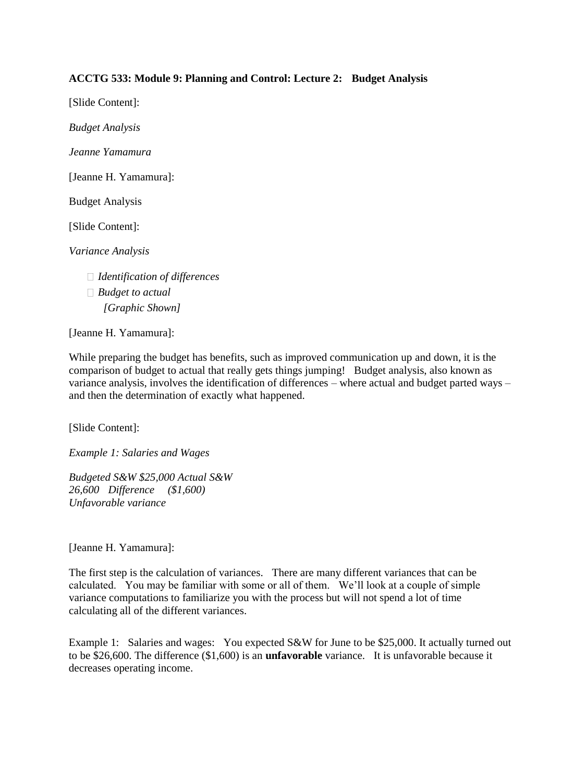# **ACCTG 533: Module 9: Planning and Control: Lecture 2: Budget Analysis**

[Slide Content]:

*Budget Analysis* 

*Jeanne Yamamura* 

[Jeanne H. Yamamura]:

Budget Analysis

[Slide Content]:

*Variance Analysis* 

- *Identification of differences*
- *Budget to actual [Graphic Shown]*

[Jeanne H. Yamamura]:

While preparing the budget has benefits, such as improved communication up and down, it is the comparison of budget to actual that really gets things jumping! Budget analysis, also known as variance analysis, involves the identification of differences – where actual and budget parted ways – and then the determination of exactly what happened.

[Slide Content]:

*Example 1: Salaries and Wages* 

*Budgeted S&W \$25,000 Actual S&W 26,600 Difference (\$1,600) Unfavorable variance* 

[Jeanne H. Yamamura]:

The first step is the calculation of variances. There are many different variances that can be calculated. You may be familiar with some or all of them. We'll look at a couple of simple variance computations to familiarize you with the process but will not spend a lot of time calculating all of the different variances.

Example 1: Salaries and wages: You expected S&W for June to be \$25,000. It actually turned out to be \$26,600. The difference (\$1,600) is an **unfavorable** variance. It is unfavorable because it decreases operating income.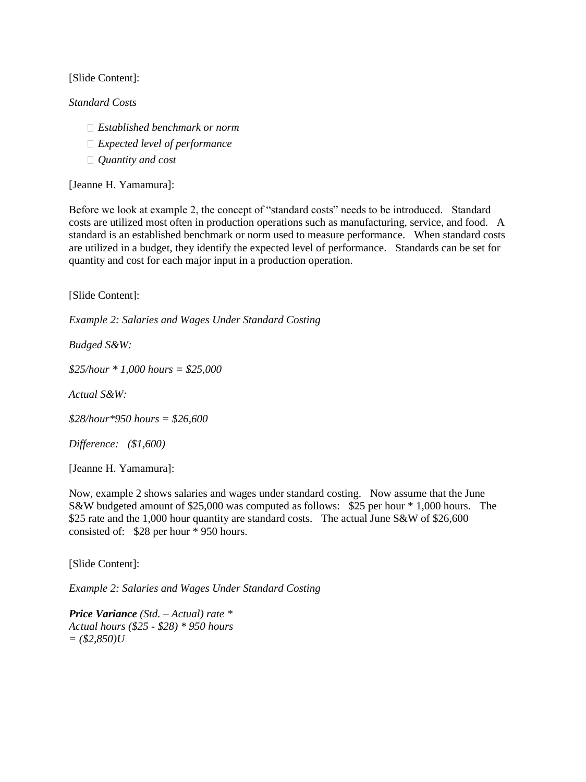## [Slide Content]:

#### *Standard Costs*

- *Established benchmark or norm*
- *Expected level of performance*
- *Quantity and cost*

[Jeanne H. Yamamura]:

Before we look at example 2, the concept of "standard costs" needs to be introduced. Standard costs are utilized most often in production operations such as manufacturing, service, and food. A standard is an established benchmark or norm used to measure performance. When standard costs are utilized in a budget, they identify the expected level of performance. Standards can be set for quantity and cost for each major input in a production operation.

[Slide Content]:

*Example 2: Salaries and Wages Under Standard Costing* 

*Budged S&W:* 

*\$25/hour \* 1,000 hours = \$25,000* 

*Actual S&W:* 

*\$28/hour\*950 hours = \$26,600* 

*Difference: (\$1,600)* 

[Jeanne H. Yamamura]:

Now, example 2 shows salaries and wages under standard costing. Now assume that the June S&W budgeted amount of \$25,000 was computed as follows: \$25 per hour \* 1,000 hours. The \$25 rate and the 1,000 hour quantity are standard costs. The actual June S&W of \$26,600 consisted of: \$28 per hour \* 950 hours.

[Slide Content]:

*Example 2: Salaries and Wages Under Standard Costing* 

*Price Variance (Std. – Actual) rate \* Actual hours (\$25 - \$28) \* 950 hours = (\$2,850)U*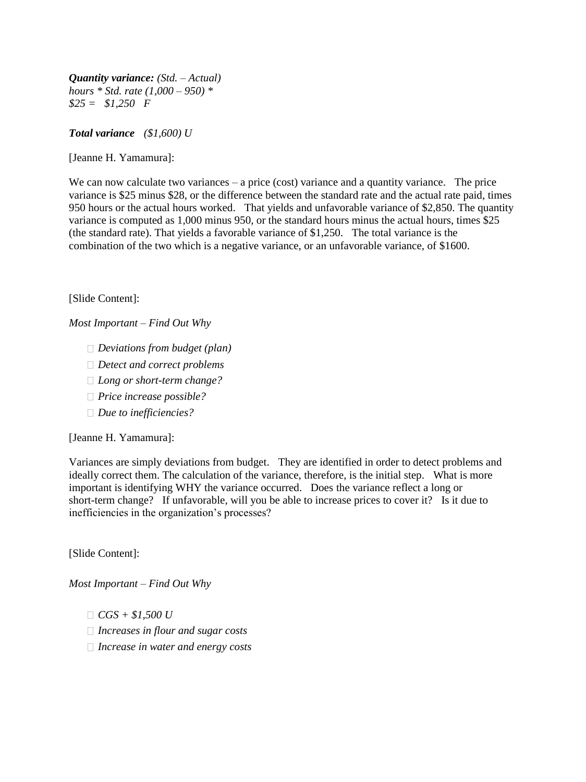*Quantity variance: (Std. – Actual) hours \* Std. rate (1,000 – 950) \* \$25 = \$1,250 F* 

*Total variance (\$1,600) U* 

[Jeanne H. Yamamura]:

We can now calculate two variances  $-$  a price (cost) variance and a quantity variance. The price variance is \$25 minus \$28, or the difference between the standard rate and the actual rate paid, times 950 hours or the actual hours worked. That yields and unfavorable variance of \$2,850. The quantity variance is computed as 1,000 minus 950, or the standard hours minus the actual hours, times \$25 (the standard rate). That yields a favorable variance of \$1,250. The total variance is the combination of the two which is a negative variance, or an unfavorable variance, of \$1600.

[Slide Content]:

*Most Important – Find Out Why* 

- *Deviations from budget (plan)*
- *Detect and correct problems*
- *Long or short-term change?*
- *Price increase possible?*
- *Due to inefficiencies?*

[Jeanne H. Yamamura]:

Variances are simply deviations from budget. They are identified in order to detect problems and ideally correct them. The calculation of the variance, therefore, is the initial step. What is more important is identifying WHY the variance occurred. Does the variance reflect a long or short-term change? If unfavorable, will you be able to increase prices to cover it? Is it due to inefficiencies in the organization's processes?

[Slide Content]:

*Most Important – Find Out Why* 

*CGS + \$1,500 U* 

- *Increases in flour and sugar costs*
- *Increase in water and energy costs*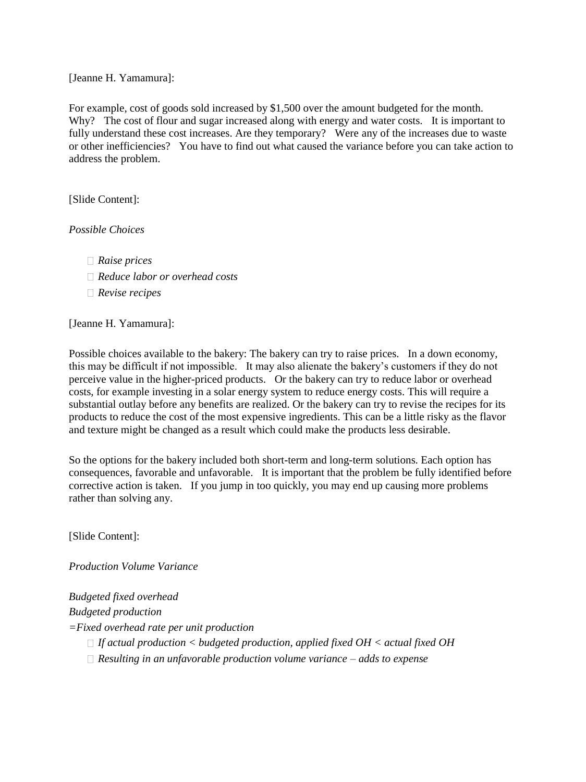[Jeanne H. Yamamura]:

For example, cost of goods sold increased by \$1,500 over the amount budgeted for the month. Why? The cost of flour and sugar increased along with energy and water costs. It is important to fully understand these cost increases. Are they temporary? Were any of the increases due to waste or other inefficiencies? You have to find out what caused the variance before you can take action to address the problem.

[Slide Content]:

*Possible Choices* 

- *Raise prices*
- *Reduce labor or overhead costs*
- *Revise recipes*

[Jeanne H. Yamamura]:

Possible choices available to the bakery: The bakery can try to raise prices. In a down economy, this may be difficult if not impossible. It may also alienate the bakery's customers if they do not perceive value in the higher-priced products. Or the bakery can try to reduce labor or overhead costs, for example investing in a solar energy system to reduce energy costs. This will require a substantial outlay before any benefits are realized. Or the bakery can try to revise the recipes for its products to reduce the cost of the most expensive ingredients. This can be a little risky as the flavor and texture might be changed as a result which could make the products less desirable.

So the options for the bakery included both short-term and long-term solutions. Each option has consequences, favorable and unfavorable. It is important that the problem be fully identified before corrective action is taken. If you jump in too quickly, you may end up causing more problems rather than solving any.

[Slide Content]:

*Production Volume Variance* 

*Budgeted fixed overhead Budgeted production =Fixed overhead rate per unit production* 

- *If actual production < budgeted production, applied fixed OH < actual fixed OH*
- *Resulting in an unfavorable production volume variance – adds to expense*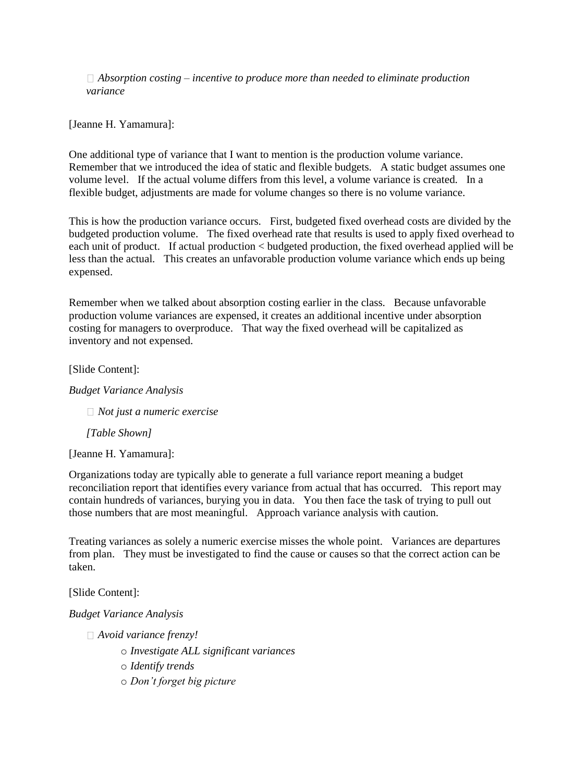*Absorption costing – incentive to produce more than needed to eliminate production variance* 

[Jeanne H. Yamamura]:

One additional type of variance that I want to mention is the production volume variance. Remember that we introduced the idea of static and flexible budgets. A static budget assumes one volume level. If the actual volume differs from this level, a volume variance is created. In a flexible budget, adjustments are made for volume changes so there is no volume variance.

This is how the production variance occurs. First, budgeted fixed overhead costs are divided by the budgeted production volume. The fixed overhead rate that results is used to apply fixed overhead to each unit of product. If actual production < budgeted production, the fixed overhead applied will be less than the actual. This creates an unfavorable production volume variance which ends up being expensed.

Remember when we talked about absorption costing earlier in the class. Because unfavorable production volume variances are expensed, it creates an additional incentive under absorption costing for managers to overproduce. That way the fixed overhead will be capitalized as inventory and not expensed.

[Slide Content]:

*Budget Variance Analysis* 

*Not just a numeric exercise* 

*[Table Shown]* 

[Jeanne H. Yamamura]:

Organizations today are typically able to generate a full variance report meaning a budget reconciliation report that identifies every variance from actual that has occurred. This report may contain hundreds of variances, burying you in data. You then face the task of trying to pull out those numbers that are most meaningful. Approach variance analysis with caution.

Treating variances as solely a numeric exercise misses the whole point. Variances are departures from plan. They must be investigated to find the cause or causes so that the correct action can be taken.

[Slide Content]:

*Budget Variance Analysis* 

*Avoid variance frenzy!* 

o *Investigate ALL significant variances* 

o *Identify trends* 

o *Don't forget big picture*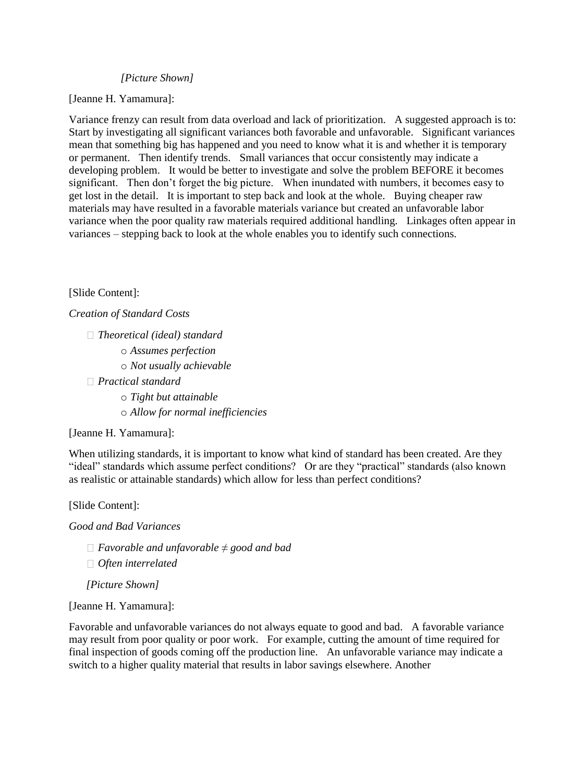### *[Picture Shown]*

[Jeanne H. Yamamura]:

Variance frenzy can result from data overload and lack of prioritization. A suggested approach is to: Start by investigating all significant variances both favorable and unfavorable. Significant variances mean that something big has happened and you need to know what it is and whether it is temporary or permanent. Then identify trends. Small variances that occur consistently may indicate a developing problem. It would be better to investigate and solve the problem BEFORE it becomes significant. Then don't forget the big picture. When inundated with numbers, it becomes easy to get lost in the detail. It is important to step back and look at the whole. Buying cheaper raw materials may have resulted in a favorable materials variance but created an unfavorable labor variance when the poor quality raw materials required additional handling. Linkages often appear in variances – stepping back to look at the whole enables you to identify such connections.

## [Slide Content]:

*Creation of Standard Costs* 

- *Theoretical (ideal) standard* 
	- o *Assumes perfection*
	- o *Not usually achievable*

*Practical standard* 

- o *Tight but attainable*
- o *Allow for normal inefficiencies*

### [Jeanne H. Yamamura]:

When utilizing standards, it is important to know what kind of standard has been created. Are they "ideal" standards which assume perfect conditions? Or are they "practical" standards (also known as realistic or attainable standards) which allow for less than perfect conditions?

[Slide Content]:

*Good and Bad Variances* 

- *Favorable and unfavorable ≠ good and bad*
- *Often interrelated*

*[Picture Shown]* 

[Jeanne H. Yamamura]:

Favorable and unfavorable variances do not always equate to good and bad. A favorable variance may result from poor quality or poor work. For example, cutting the amount of time required for final inspection of goods coming off the production line. An unfavorable variance may indicate a switch to a higher quality material that results in labor savings elsewhere. Another